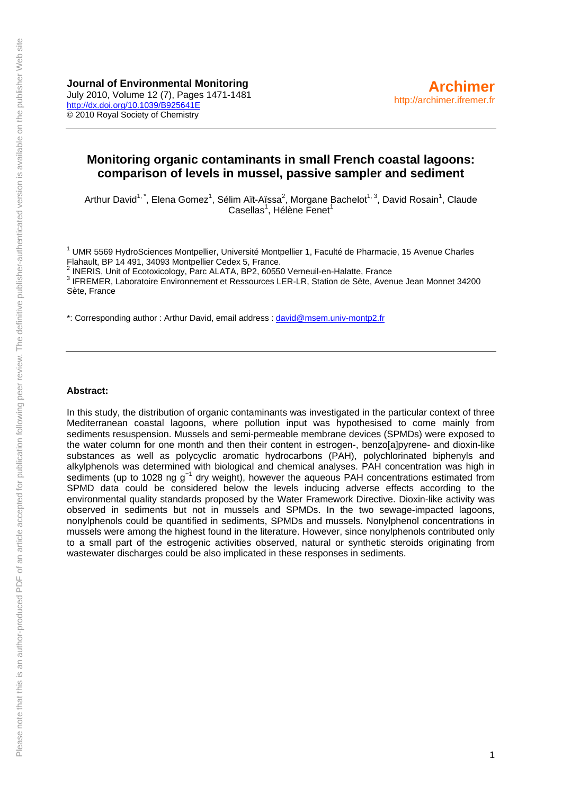**Journal of Environmental Monitoring**  July 2010, Volume 12 (7), Pages 1471-1481 <http://dx.doi.org/10.1039/B925641E> © 2010 Royal Society of Chemistry

# **Monitoring organic contaminants in small French coastal lagoons: comparison of levels in mussel, passive sampler and sediment**

Arthur David<sup>1,\*</sup>, Elena Gomez<sup>1</sup>, Sélim Aït-Aïssa<sup>2</sup>, Morgane Bachelot<sup>1, 3</sup>, David Rosain<sup>1</sup>, Claude Casellas<sup>1</sup>, Hélène Fenet<sup>1</sup>

<sup>1</sup> UMR 5569 HydroSciences Montpellier, Université Montpellier 1, Faculté de Pharmacie, 15 Avenue Charles Flahault, BP 14 491, 34093 Montpellier Cedex 5, France.<br><sup>2</sup> INFRIS, Unit of Fectoriaalogy, Bare ALATA, BB2, 60550

INERIS, Unit of Ecotoxicology, Parc ALATA, BP2, 60550 Verneuil-en-Halatte, France 3

3 IFREMER, Laboratoire Environnement et Ressources LER-LR, Station de Sète, Avenue Jean Monnet 34200 Sète, France

\*: Corresponding author : Arthur David, email address : [david@msem.univ-montp2.fr](mailto:david@msem.univ-montp2.fr)

#### **Abstract:**

In this study, the distribution of organic contaminants was investigated in the particular context of three Mediterranean coastal lagoons, where pollution input was hypothesised to come mainly from sediments resuspension. Mussels and semi-permeable membrane devices (SPMDs) were exposed to the water column for one month and then their content in estrogen-, benzo[a]pyrene- and dioxin-like substances as well as polycyclic aromatic hydrocarbons (PAH), polychlorinated biphenyls and alkylphenols was determined with biological and chemical analyses. PAH concentration was high in sediments (up to 1028 ng g<sup>-1</sup> dry weight), however the aqueous PAH concentrations estimated from SPMD data could be considered below the levels inducing adverse effects according to the environmental quality standards proposed by the Water Framework Directive. Dioxin-like activity was observed in sediments but not in mussels and SPMDs. In the two sewage-impacted lagoons, nonylphenols could be quantified in sediments, SPMDs and mussels. Nonylphenol concentrations in mussels were among the highest found in the literature. However, since nonylphenols contributed only to a small part of the estrogenic activities observed, natural or synthetic steroids originating from wastewater discharges could be also implicated in these responses in sediments.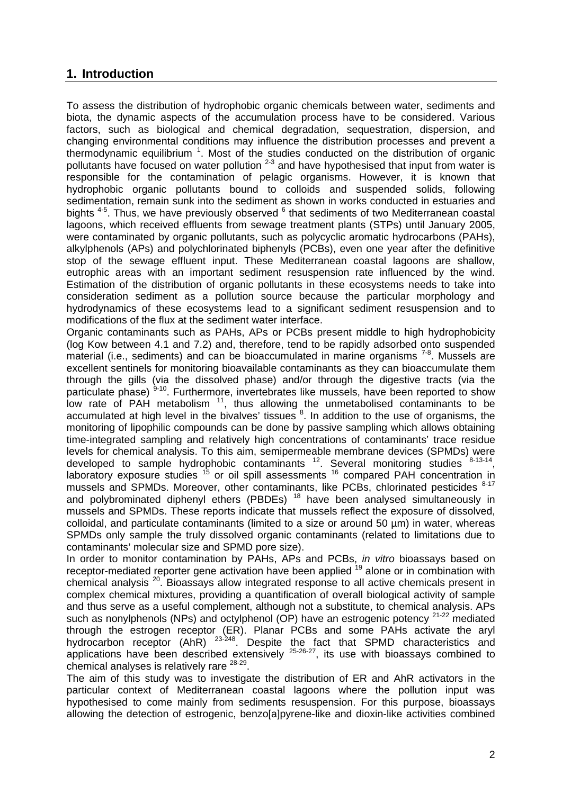# **1. Introduction**

To assess the distribution of hydrophobic organic chemicals between water, sediments and biota, the dynamic aspects of the accumulation process have to be considered. Various factors, such as biological and chemical degradation, sequestration, dispersion, and changing environmental conditions may influence the distribution processes and prevent a thermodynamic equilibrium  $1$ . Most of the studies conducted on the distribution of organic pollutants have focused on water pollution  $2-3$  and have hypothesised that input from water is responsible for the contamination of pelagic organisms. However, it is known that hydrophobic organic pollutants bound to colloids and suspended solids, following sedimentation, remain sunk into the sediment as shown in works conducted in estuaries and bights <sup>4-5</sup>. Thus, we have previously observed <sup>6</sup> that sediments of two Mediterranean coastal lagoons, which received effluents from sewage treatment plants (STPs) until January 2005, were contaminated by organic pollutants, such as polycyclic aromatic hydrocarbons (PAHs), alkylphenols (APs) and polychlorinated biphenyls (PCBs), even one year after the definitive stop of the sewage effluent input. These Mediterranean coastal lagoons are shallow, eutrophic areas with an important sediment resuspension rate influenced by the wind. Estimation of the distribution of organic pollutants in these ecosystems needs to take into consideration sediment as a pollution source because the particular morphology and hydrodynamics of these ecosystems lead to a significant sediment resuspension and to modifications of the flux at the sediment water interface.

Organic contaminants such as PAHs, APs or PCBs present middle to high hydrophobicity (log Kow between 4.1 and 7.2) and, therefore, tend to be rapidly adsorbed onto suspended material (i.e., sediments) and can be bioaccumulated in marine organisms  $7-8$ . Mussels are excellent sentinels for monitoring bioavailable contaminants as they can bioaccumulate them through the gills (via the dissolved phase) and/or through the digestive tracts (via the particulate phase)  $9-10$ . Furthermore, invertebrates like mussels, have been reported to show low rate of PAH metabolism  $11$ , thus allowing the unmetabolised contaminants to be accumulated at high level in the bivalves' tissues  $8$ . In addition to the use of organisms, the monitoring of lipophilic compounds can be done by passive sampling which allows obtaining time-integrated sampling and relatively high concentrations of contaminants' trace residue levels for chemical analysis. To this aim, semipermeable membrane devices (SPMDs) were developed to sample hydrophobic contaminants  $12$ . Several monitoring studies  $8-13-14$ , laboratory exposure studies <sup>15</sup> or oil spill assessments <sup>16</sup> compared PAH concentration in mussels and SPMDs. Moreover, other contaminants, like PCBs, chlorinated pesticides  $8-17$ and polybrominated diphenyl ethers (PBDEs)  $18$  have been analysed simultaneously in mussels and SPMDs. These reports indicate that mussels reflect the exposure of dissolved, colloidal, and particulate contaminants (limited to a size or around 50 µm) in water, whereas SPMDs only sample the truly dissolved organic contaminants (related to limitations due to contaminants' molecular size and SPMD pore size).

In order to monitor contamination by PAHs, APs and PCBs, *in vitro* bioassays based on receptor-mediated reporter gene activation have been applied <sup>19</sup> alone or in combination with chemical analysis 20. Bioassays allow integrated response to all active chemicals present in complex chemical mixtures, providing a quantification of overall biological activity of sample and thus serve as a useful complement, although not a substitute, to chemical analysis. APs such as nonylphenols (NPs) and octylphenol (OP) have an estrogenic potency  $21-22$  mediated through the estrogen receptor (ER). Planar PCBs and some PAHs activate the aryl hydrocarbon receptor (AhR)  $23-248$ . Despite the fact that SPMD characteristics and applications have been described extensively  $25-26-27$ , its use with bioassays combined to chemical analyses is relatively rare <sup>28-29</sup>.

The aim of this study was to investigate the distribution of ER and AhR activators in the particular context of Mediterranean coastal lagoons where the pollution input was hypothesised to come mainly from sediments resuspension. For this purpose, bioassays allowing the detection of estrogenic, benzo[a]pyrene-like and dioxin-like activities combined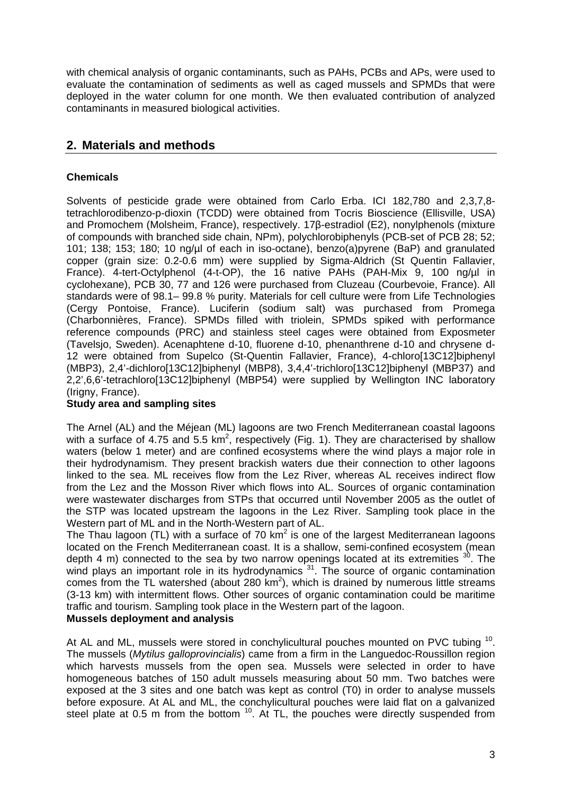with chemical analysis of organic contaminants, such as PAHs, PCBs and APs, were used to evaluate the contamination of sediments as well as caged mussels and SPMDs that were deployed in the water column for one month. We then evaluated contribution of analyzed contaminants in measured biological activities.

# **2. Materials and methods**

# **Chemicals**

Solvents of pesticide grade were obtained from Carlo Erba. ICI 182,780 and 2,3,7,8 tetrachlorodibenzo-p-dioxin (TCDD) were obtained from Tocris Bioscience (Ellisville, USA) and Promochem (Molsheim, France), respectively. 17β-estradiol (E2), nonylphenols (mixture of compounds with branched side chain, NPm), polychlorobiphenyls (PCB-set of PCB 28; 52; 101; 138; 153; 180; 10 ng/µl of each in iso-octane), benzo(a)pyrene (BaP) and granulated copper (grain size: 0.2-0.6 mm) were supplied by Sigma-Aldrich (St Quentin Fallavier, France). 4-tert-Octylphenol (4-t-OP), the 16 native PAHs (PAH-Mix 9, 100 ng/µl in cyclohexane), PCB 30, 77 and 126 were purchased from Cluzeau (Courbevoie, France). All standards were of 98.1– 99.8 % purity. Materials for cell culture were from Life Technologies (Cergy Pontoise, France). Luciferin (sodium salt) was purchased from Promega (Charbonnières, France). SPMDs filled with triolein, SPMDs spiked with performance reference compounds (PRC) and stainless steel cages were obtained from Exposmeter (Tavelsjo, Sweden). Acenaphtene d-10, fluorene d-10, phenanthrene d-10 and chrysene d-12 were obtained from Supelco (St-Quentin Fallavier, France), 4-chloro[13C12]biphenyl (MBP3), 2,4'-dichloro[13C12]biphenyl (MBP8), 3,4,4'-trichloro[13C12]biphenyl (MBP37) and 2,2',6,6'-tetrachloro[13C12]biphenyl (MBP54) were supplied by Wellington INC laboratory (Irigny, France).

## **Study area and sampling sites**

The Arnel (AL) and the Méjean (ML) lagoons are two French Mediterranean coastal lagoons with a surface of 4.75 and 5.5 km<sup>2</sup>, respectively (Fig. 1). They are characterised by shallow waters (below 1 meter) and are confined ecosystems where the wind plays a major role in their hydrodynamism. They present brackish waters due their connection to other lagoons linked to the sea. ML receives flow from the Lez River, whereas AL receives indirect flow from the Lez and the Mosson River which flows into AL. Sources of organic contamination were wastewater discharges from STPs that occurred until November 2005 as the outlet of the STP was located upstream the lagoons in the Lez River. Sampling took place in the Western part of ML and in the North-Western part of AL.

The Thau lagoon (TL) with a surface of 70  $km^2$  is one of the largest Mediterranean lagoons located on the French Mediterranean coast. It is a shallow, semi-confined ecosystem (mean depth 4 m) connected to the sea by two narrow openings located at its extremities  $30$ . The wind plays an important role in its hydrodynamics <sup>31</sup>. The source of organic contamination comes from the TL watershed (about 280  $km^2$ ), which is drained by numerous little streams (3-13 km) with intermittent flows. Other sources of organic contamination could be maritime traffic and tourism. Sampling took place in the Western part of the lagoon.

## **Mussels deployment and analysis**

At AL and ML, mussels were stored in conchylicultural pouches mounted on PVC tubing <sup>10</sup>. The mussels (*Mytilus galloprovincialis*) came from a firm in the Languedoc-Roussillon region which harvests mussels from the open sea. Mussels were selected in order to have homogeneous batches of 150 adult mussels measuring about 50 mm. Two batches were exposed at the 3 sites and one batch was kept as control (T0) in order to analyse mussels before exposure. At AL and ML, the conchylicultural pouches were laid flat on a galvanized steel plate at 0.5 m from the bottom  $10$ . At TL, the pouches were directly suspended from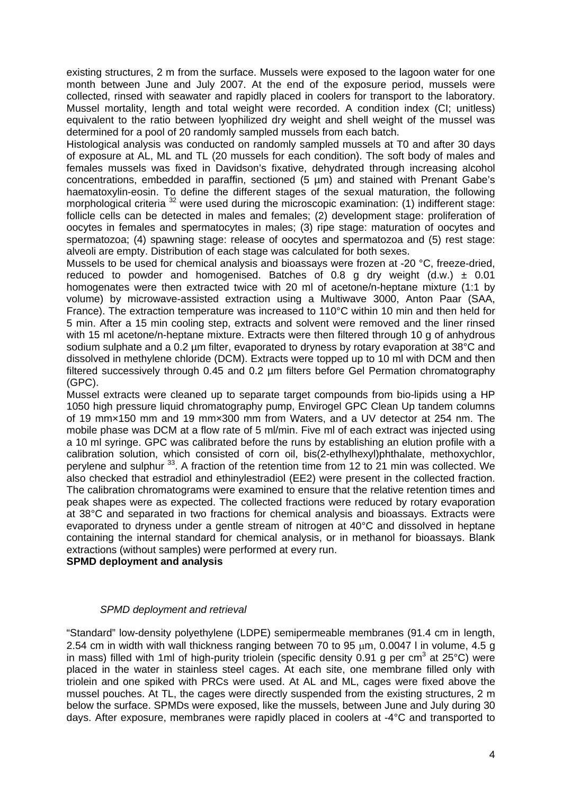existing structures, 2 m from the surface. Mussels were exposed to the lagoon water for one month between June and July 2007. At the end of the exposure period, mussels were collected, rinsed with seawater and rapidly placed in coolers for transport to the laboratory. Mussel mortality, length and total weight were recorded. A condition index (CI; unitless) equivalent to the ratio between lyophilized dry weight and shell weight of the mussel was determined for a pool of 20 randomly sampled mussels from each batch.

Histological analysis was conducted on randomly sampled mussels at T0 and after 30 days of exposure at AL, ML and TL (20 mussels for each condition). The soft body of males and females mussels was fixed in Davidson's fixative, dehydrated through increasing alcohol concentrations, embedded in paraffin, sectioned (5 µm) and stained with Prenant Gabe's haematoxylin-eosin. To define the different stages of the sexual maturation, the following morphological criteria <sup>32</sup> were used during the microscopic examination: (1) indifferent stage: follicle cells can be detected in males and females; (2) development stage: proliferation of oocytes in females and spermatocytes in males; (3) ripe stage: maturation of oocytes and spermatozoa; (4) spawning stage: release of oocytes and spermatozoa and (5) rest stage: alveoli are empty. Distribution of each stage was calculated for both sexes.

Mussels to be used for chemical analysis and bioassays were frozen at -20 °C, freeze-dried, reduced to powder and homogenised. Batches of 0.8 g dry weight  $(d.w.) \pm 0.01$ homogenates were then extracted twice with 20 ml of acetone/n-heptane mixture (1:1 by volume) by microwave-assisted extraction using a Multiwave 3000, Anton Paar (SAA, France). The extraction temperature was increased to 110°C within 10 min and then held for 5 min. After a 15 min cooling step, extracts and solvent were removed and the liner rinsed with 15 ml acetone/n-heptane mixture. Extracts were then filtered through 10 g of anhydrous sodium sulphate and a 0.2 um filter, evaporated to dryness by rotary evaporation at 38°C and dissolved in methylene chloride (DCM). Extracts were topped up to 10 ml with DCM and then filtered successively through 0.45 and 0.2 µm filters before Gel Permation chromatography (GPC).

Mussel extracts were cleaned up to separate target compounds from bio-lipids using a HP 1050 high pressure liquid chromatography pump, Envirogel GPC Clean Up tandem columns of 19 mm×150 mm and 19 mm×300 mm from Waters, and a UV detector at 254 nm. The mobile phase was DCM at a flow rate of 5 ml/min. Five ml of each extract was injected using a 10 ml syringe. GPC was calibrated before the runs by establishing an elution profile with a calibration solution, which consisted of corn oil, bis(2-ethylhexyl)phthalate, methoxychlor, perylene and sulphur <sup>33</sup>. A fraction of the retention time from 12 to 21 min was collected. We also checked that estradiol and ethinylestradiol (EE2) were present in the collected fraction. The calibration chromatograms were examined to ensure that the relative retention times and peak shapes were as expected. The collected fractions were reduced by rotary evaporation at 38°C and separated in two fractions for chemical analysis and bioassays. Extracts were evaporated to dryness under a gentle stream of nitrogen at 40°C and dissolved in heptane containing the internal standard for chemical analysis, or in methanol for bioassays. Blank extractions (without samples) were performed at every run.

**SPMD deployment and analysis** 

## *SPMD deployment and retrieval*

"Standard" low-density polyethylene (LDPE) semipermeable membranes (91.4 cm in length, 2.54 cm in width with wall thickness ranging between 70 to 95  $\mu$ m, 0.0047 l in volume, 4.5 g in mass) filled with 1ml of high-purity triolein (specific density 0.91 g per cm<sup>3</sup> at 25°C) were placed in the water in stainless steel cages. At each site, one membrane filled only with triolein and one spiked with PRCs were used. At AL and ML, cages were fixed above the mussel pouches. At TL, the cages were directly suspended from the existing structures, 2 m below the surface. SPMDs were exposed, like the mussels, between June and July during 30 days. After exposure, membranes were rapidly placed in coolers at -4°C and transported to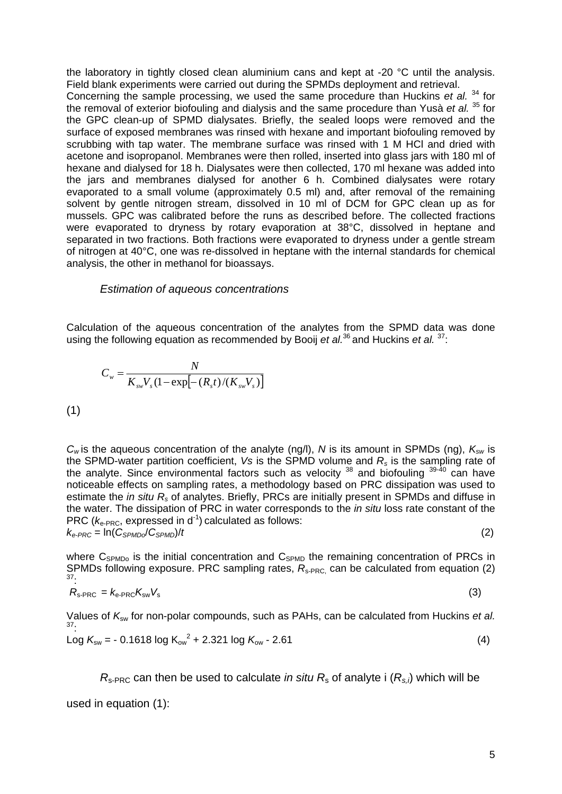the laboratory in tightly closed clean aluminium cans and kept at -20 °C until the analysis. Field blank experiments were carried out during the SPMDs deployment and retrieval. Concerning the sample processing, we used the same procedure than Huckins *et al.* 34 for the removal of exterior biofouling and dialysis and the same procedure than Yusà *et al.* 35 for the GPC clean-up of SPMD dialysates. Briefly, the sealed loops were removed and the surface of exposed membranes was rinsed with hexane and important biofouling removed by scrubbing with tap water. The membrane surface was rinsed with 1 M HCl and dried with acetone and isopropanol. Membranes were then rolled, inserted into glass jars with 180 ml of hexane and dialysed for 18 h. Dialysates were then collected, 170 ml hexane was added into the jars and membranes dialysed for another 6 h. Combined dialysates were rotary evaporated to a small volume (approximately 0.5 ml) and, after removal of the remaining solvent by gentle nitrogen stream, dissolved in 10 ml of DCM for GPC clean up as for mussels. GPC was calibrated before the runs as described before. The collected fractions were evaporated to dryness by rotary evaporation at 38°C, dissolved in heptane and separated in two fractions. Both fractions were evaporated to dryness under a gentle stream of nitrogen at 40°C, one was re-dissolved in heptane with the internal standards for chemical analysis, the other in methanol for bioassays.

## *Estimation of aqueous concentrations*

Calculation of the aqueous concentration of the analytes from the SPMD data was done using the following equation as recommended by Booij *et al.*<sup>36</sup> and Huckins *et al.*<sup>37</sup>:

$$
C_{w} = \frac{N}{K_{sw}V_{s}(1 - \exp[-(R_{s}t)/(K_{sw}V_{s})]}
$$
\n(1)

*Cw* is the aqueous concentration of the analyte (ng/l), *N* is its amount in SPMDs (ng), *Ksw* is the SPMD-water partition coefficient, *Vs* is the SPMD volume and *Rs* is the sampling rate of the analyte. Since environmental factors such as velocity  $^{38}$  and biofouling  $^{39\text{-}40}$  can have noticeable effects on sampling rates, a methodology based on PRC dissipation was used to estimate the *in situ Rs* of analytes. Briefly, PRCs are initially present in SPMDs and diffuse in the water. The dissipation of PRC in water corresponds to the *in situ* loss rate constant of the PRC ( $k_{e-PRC}$ , expressed in  $d^{-1}$ ) calculated as follows:  $k_{e-PRC} = \ln(C_{SPMD}/C_{SPMD})/t$  (2)

where  $C_{SPMDo}$  is the initial concentration and  $C_{SPMD}$  the remaining concentration of PRCs in SPMDs following exposure. PRC sampling rates,  $R_{\text{s-PRC}}$  can be calculated from equation (2) 37:

$$
R_{\rm s-PRC} = k_{\rm e-PRC} K_{\rm sw} V_{\rm s} \tag{3}
$$

Values of *K*sw for non-polar compounds, such as PAHs, can be calculated from Huckins *et al.*  37:  $Log K_{sw} = -0.1618 log K_{ow}^{2} + 2.321 log K_{ow} - 2.61$  (4)

 $R_{\rm s-PRC}$  can then be used to calculate *in situ*  $R_{\rm s}$  of analyte i  $(R_{\rm s,i})$  which will be

used in equation (1):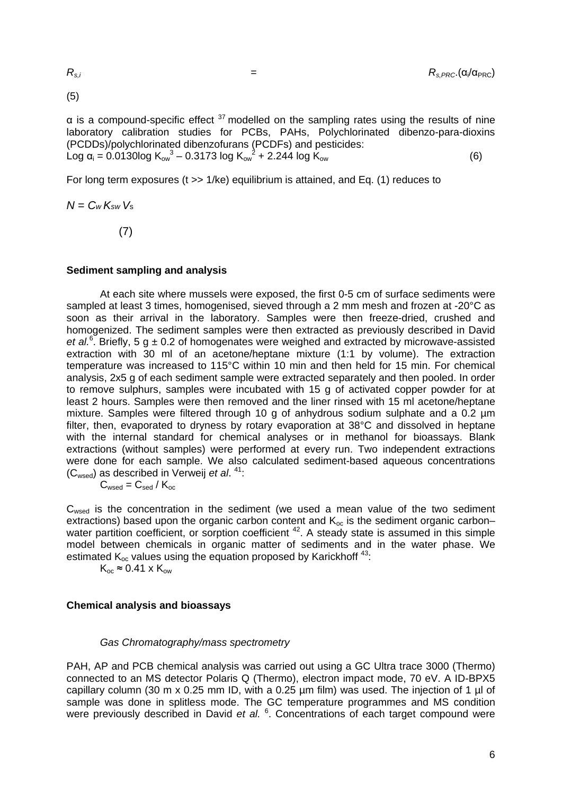(5)

 $\alpha$  is a compound-specific effect  $37$  modelled on the sampling rates using the results of nine laboratory calibration studies for PCBs, PAHs, Polychlorinated dibenzo-para-dioxins (PCDDs)/polychlorinated dibenzofurans (PCDFs) and pesticides: Log  $\alpha_i = 0.0130$ log K<sub>ow</sub><sup>3</sup> – 0.3173 log K<sub>ow</sub><sup>2</sup> + 2.244 log K<sub>ow</sub> (6)

For long term exposures (t >> 1/ke) equilibrium is attained, and Eq. (1) reduces to

$$
N = C_W K_{sw} V_s
$$

(7)

### **Sediment sampling and analysis**

 At each site where mussels were exposed, the first 0-5 cm of surface sediments were sampled at least 3 times, homogenised, sieved through a 2 mm mesh and frozen at -20°C as soon as their arrival in the laboratory. Samples were then freeze-dried, crushed and homogenized. The sediment samples were then extracted as previously described in David et al.<sup>6</sup>. Briefly, 5 g  $\pm$  0.2 of homogenates were weighed and extracted by microwave-assisted extraction with 30 ml of an acetone/heptane mixture (1:1 by volume). The extraction temperature was increased to 115°C within 10 min and then held for 15 min. For chemical analysis, 2x5 g of each sediment sample were extracted separately and then pooled. In order to remove sulphurs, samples were incubated with 15 g of activated copper powder for at least 2 hours. Samples were then removed and the liner rinsed with 15 ml acetone/heptane mixture. Samples were filtered through 10 g of anhydrous sodium sulphate and a 0.2 µm filter, then, evaporated to dryness by rotary evaporation at 38°C and dissolved in heptane with the internal standard for chemical analyses or in methanol for bioassays. Blank extractions (without samples) were performed at every run. Two independent extractions were done for each sample. We also calculated sediment-based aqueous concentrations (Cwsed) as described in Verweij *et al*. 41:

$$
C_{\text{wsed}} = C_{\text{sed}} / K_{\text{oc}}
$$

C<sub>wsed</sub> is the concentration in the sediment (we used a mean value of the two sediment extractions) based upon the organic carbon content and  $K_{oc}$  is the sediment organic carbon– water partition coefficient, or sorption coefficient  $42$ . A steady state is assumed in this simple model between chemicals in organic matter of sediments and in the water phase. We estimated  $K_{oc}$  values using the equation proposed by Karickhoff<sup>43</sup>:

 $K_{oc} \approx 0.41 \times K_{ow}$ 

## **Chemical analysis and bioassays**

### *Gas Chromatography/mass spectrometry*

PAH, AP and PCB chemical analysis was carried out using a GC Ultra trace 3000 (Thermo) connected to an MS detector Polaris Q (Thermo), electron impact mode, 70 eV. A ID-BPX5 capillary column (30 m x 0.25 mm ID, with a 0.25 um film) was used. The injection of 1 ul of sample was done in splitless mode. The GC temperature programmes and MS condition were previously described in David et al. <sup>6</sup>. Concentrations of each target compound were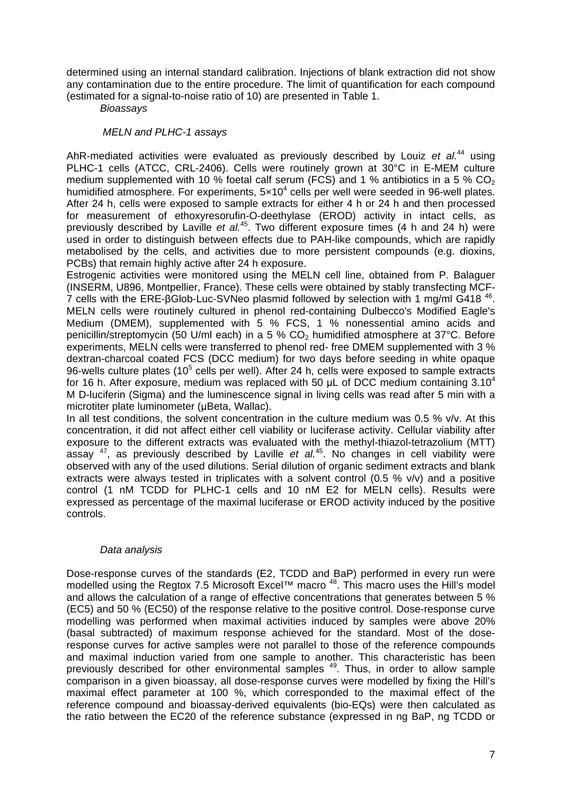determined using an internal standard calibration. Injections of blank extraction did not show any contamination due to the entire procedure. The limit of quantification for each compound (estimated for a signal-to-noise ratio of 10) are presented in Table 1.

 *Bioassays* 

### *MELN and PLHC-1 assays*

AhR-mediated activities were evaluated as previously described by Louiz *et al.*44 using PLHC-1 cells (ATCC, CRL-2406). Cells were routinely grown at 30°C in E-MEM culture medium supplemented with 10 % foetal calf serum (FCS) and 1 % antibiotics in a 5 %  $CO<sub>2</sub>$ humidified atmosphere. For experiments,  $5\times10^4$  cells per well were seeded in 96-well plates. After 24 h, cells were exposed to sample extracts for either 4 h or 24 h and then processed for measurement of ethoxyresorufin-O-deethylase (EROD) activity in intact cells, as previously described by Laville *et al.*45. Two different exposure times (4 h and 24 h) were used in order to distinguish between effects due to PAH-like compounds, which are rapidly metabolised by the cells, and activities due to more persistent compounds (e.g. dioxins, PCBs) that remain highly active after 24 h exposure.

Estrogenic activities were monitored using the MELN cell line, obtained from P. Balaguer (INSERM, U896, Montpellier, France). These cells were obtained by stably transfecting MCF-7 cells with the ERE-βGlob-Luc-SVNeo plasmid followed by selection with 1 mg/ml G418 46. MELN cells were routinely cultured in phenol red-containing Dulbecco's Modified Eagle's Medium (DMEM), supplemented with 5 % FCS, 1 % nonessential amino acids and penicillin/streptomycin (50 U/ml each) in a 5 %  $CO<sub>2</sub>$  humidified atmosphere at 37°C. Before experiments, MELN cells were transferred to phenol red- free DMEM supplemented with 3 % dextran-charcoal coated FCS (DCC medium) for two days before seeding in white opaque 96-wells culture plates (10 $5$  cells per well). After 24 h, cells were exposed to sample extracts for 16 h. After exposure, medium was replaced with 50  $\mu$ L of DCC medium containing 3.10<sup>4</sup> M D-luciferin (Sigma) and the luminescence signal in living cells was read after 5 min with a microtiter plate luminometer (μBeta, Wallac).

In all test conditions, the solvent concentration in the culture medium was  $0.5\%$  v/v. At this concentration, it did not affect either cell viability or luciferase activity. Cellular viability after exposure to the different extracts was evaluated with the methyl-thiazol-tetrazolium (MTT) assay <sup>47</sup>, as previously described by Laville *et al.*<sup>45</sup>. No changes in cell viability were observed with any of the used dilutions. Serial dilution of organic sediment extracts and blank extracts were always tested in triplicates with a solvent control (0.5 % v/v) and a positive control (1 nM TCDD for PLHC-1 cells and 10 nM E2 for MELN cells). Results were expressed as percentage of the maximal luciferase or EROD activity induced by the positive controls.

### *Data analysis*

Dose-response curves of the standards (E2, TCDD and BaP) performed in every run were modelled using the Regtox 7.5 Microsoft Excel™ macro <sup>48</sup>. This macro uses the Hill's model and allows the calculation of a range of effective concentrations that generates between 5 % (EC5) and 50 % (EC50) of the response relative to the positive control. Dose-response curve modelling was performed when maximal activities induced by samples were above 20% (basal subtracted) of maximum response achieved for the standard. Most of the doseresponse curves for active samples were not parallel to those of the reference compounds and maximal induction varied from one sample to another. This characteristic has been previously described for other environmental samples <sup>49</sup>. Thus, in order to allow sample comparison in a given bioassay, all dose-response curves were modelled by fixing the Hill's maximal effect parameter at 100 %, which corresponded to the maximal effect of the reference compound and bioassay-derived equivalents (bio-EQs) were then calculated as the ratio between the EC20 of the reference substance (expressed in ng BaP, ng TCDD or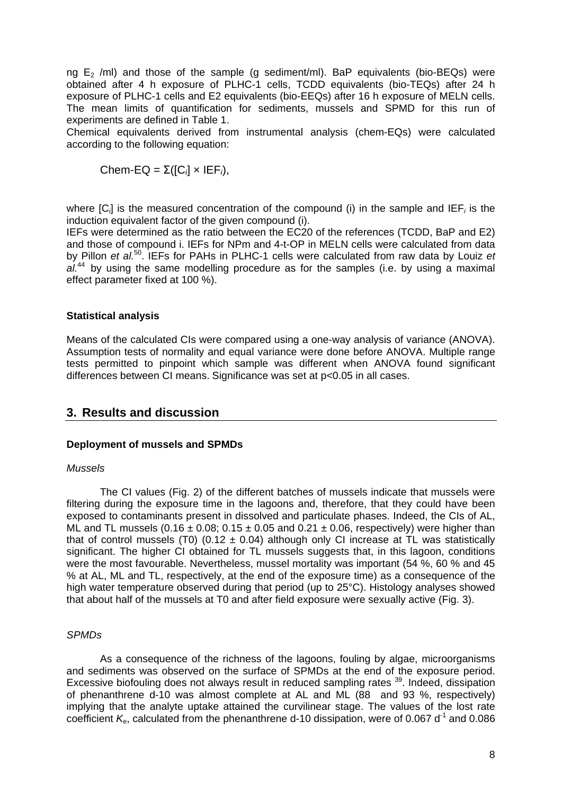ng  $E_2$  /ml) and those of the sample (g sediment/ml). BaP equivalents (bio-BEQs) were obtained after 4 h exposure of PLHC-1 cells, TCDD equivalents (bio-TEQs) after 24 h exposure of PLHC-1 cells and E2 equivalents (bio-EEQs) after 16 h exposure of MELN cells. The mean limits of quantification for sediments, mussels and SPMD for this run of experiments are defined in Table 1.

Chemical equivalents derived from instrumental analysis (chem-EQs) were calculated according to the following equation:

Chem-EQ =  $\Sigma([C_i] \times IEF_i)$ ,

where [C*i*] is the measured concentration of the compound (i) in the sample and IEF*i* is the induction equivalent factor of the given compound (i).

IEFs were determined as the ratio between the EC20 of the references (TCDD, BaP and E2) and those of compound i. IEFs for NPm and 4-t-OP in MELN cells were calculated from data by Pillon *et al.*50. IEFs for PAHs in PLHC-1 cells were calculated from raw data by Louiz *et*  al.<sup>44</sup> by using the same modelling procedure as for the samples (i.e. by using a maximal effect parameter fixed at 100 %).

### **Statistical analysis**

Means of the calculated CIs were compared using a one-way analysis of variance (ANOVA). Assumption tests of normality and equal variance were done before ANOVA. Multiple range tests permitted to pinpoint which sample was different when ANOVA found significant differences between CI means. Significance was set at p<0.05 in all cases.

# **3. Results and discussion**

## **Deployment of mussels and SPMDs**

### *Mussels*

 The CI values (Fig. 2) of the different batches of mussels indicate that mussels were filtering during the exposure time in the lagoons and, therefore, that they could have been exposed to contaminants present in dissolved and particulate phases. Indeed, the CIs of AL, ML and TL mussels  $(0.16 \pm 0.08; 0.15 \pm 0.05$  and  $0.21 \pm 0.06$ , respectively) were higher than that of control mussels (T0) (0.12  $\pm$  0.04) although only CI increase at TL was statistically significant. The higher CI obtained for TL mussels suggests that, in this lagoon, conditions were the most favourable. Nevertheless, mussel mortality was important (54 %, 60 % and 45 % at AL, ML and TL, respectively, at the end of the exposure time) as a consequence of the high water temperature observed during that period (up to 25°C). Histology analyses showed that about half of the mussels at T0 and after field exposure were sexually active (Fig. 3).

### *SPMDs*

 As a consequence of the richness of the lagoons, fouling by algae, microorganisms and sediments was observed on the surface of SPMDs at the end of the exposure period. Excessive biofouling does not always result in reduced sampling rates <sup>39</sup>. Indeed, dissipation of phenanthrene d-10 was almost complete at AL and ML (88 and 93 %, respectively) implying that the analyte uptake attained the curvilinear stage. The values of the lost rate coefficient  $K_{\rm e}$ , calculated from the phenanthrene d-10 dissipation, were of 0.067 d<sup>-1</sup> and 0.086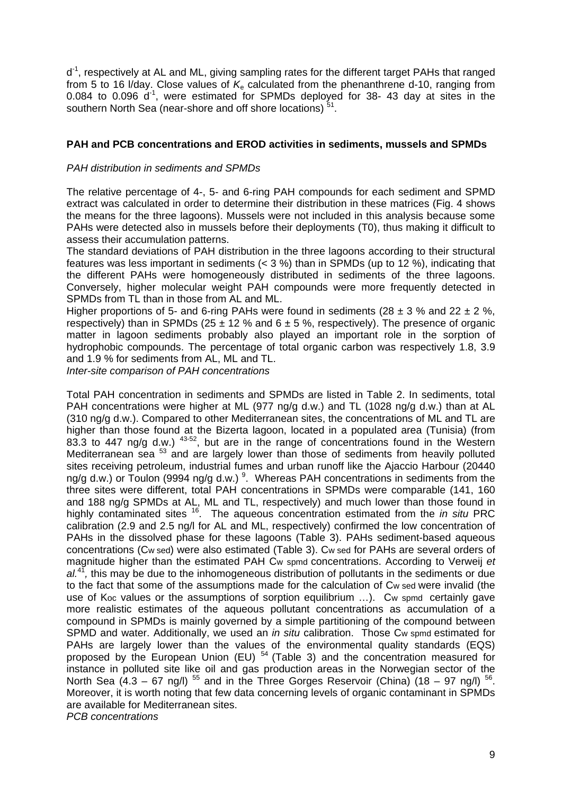d<sup>-1</sup>, respectively at AL and ML, giving sampling rates for the different target PAHs that ranged from 5 to 16 *V*day. Close values of  $K<sub>e</sub>$  calculated from the phenanthrene d-10, ranging from 0.084 to 0.096  $d^{-1}$ , were estimated for SPMDs deployed for 38-43 day at sites in the southern North Sea (near-shore and off shore locations)<sup>51</sup>.

## **PAH and PCB concentrations and EROD activities in sediments, mussels and SPMDs**

## *PAH distribution in sediments and SPMDs*

The relative percentage of 4-, 5- and 6-ring PAH compounds for each sediment and SPMD extract was calculated in order to determine their distribution in these matrices (Fig. 4 shows the means for the three lagoons). Mussels were not included in this analysis because some PAHs were detected also in mussels before their deployments (T0), thus making it difficult to assess their accumulation patterns.

The standard deviations of PAH distribution in the three lagoons according to their structural features was less important in sediments ( $<$  3 %) than in SPMDs (up to 12 %), indicating that the different PAHs were homogeneously distributed in sediments of the three lagoons. Conversely, higher molecular weight PAH compounds were more frequently detected in SPMDs from TL than in those from AL and ML.

Higher proportions of 5- and 6-ring PAHs were found in sediments (28  $\pm$  3 % and 22  $\pm$  2 %, respectively) than in SPMDs (25  $\pm$  12 % and 6  $\pm$  5 %, respectively). The presence of organic matter in lagoon sediments probably also played an important role in the sorption of hydrophobic compounds. The percentage of total organic carbon was respectively 1.8, 3.9 and 1.9 % for sediments from AL, ML and TL.

*Inter-site comparison of PAH concentrations* 

Total PAH concentration in sediments and SPMDs are listed in Table 2. In sediments, total PAH concentrations were higher at ML (977 ng/g d.w.) and TL (1028 ng/g d.w.) than at AL (310 ng/g d.w.). Compared to other Mediterranean sites, the concentrations of ML and TL are higher than those found at the Bizerta lagoon, located in a populated area (Tunisia) (from 83.3 to 447 ng/g d.w.) <sup>43-52</sup>, but are in the range of concentrations found in the Western Mediterranean sea <sup>53</sup> and are largely lower than those of sediments from heavily polluted sites receiving petroleum, industrial fumes and urban runoff like the Ajaccio Harbour (20440 ng/g d.w.) or Toulon (9994 ng/g d.w.)  $^9$ . Whereas PAH concentrations in sediments from the three sites were different, total PAH concentrations in SPMDs were comparable (141, 160 and 188 ng/g SPMDs at AL, ML and TL, respectively) and much lower than those found in highly contaminated sites 16. The aqueous concentration estimated from the *in situ* PRC calibration (2.9 and 2.5 ng/l for AL and ML, respectively) confirmed the low concentration of PAHs in the dissolved phase for these lagoons (Table 3). PAHs sediment-based aqueous concentrations (Cw sed) were also estimated (Table 3). Cw sed for PAHs are several orders of magnitude higher than the estimated PAH Cw spmd concentrations. According to Verweij *et al.*<sup>41</sup>*,* this may be due to the inhomogeneous distribution of pollutants in the sediments or due to the fact that some of the assumptions made for the calculation of Cw sed were invalid (the use of Koc values or the assumptions of sorption equilibrium …). Cw spmd certainly gave more realistic estimates of the aqueous pollutant concentrations as accumulation of a compound in SPMDs is mainly governed by a simple partitioning of the compound between SPMD and water. Additionally, we used an *in situ* calibration. Those Cw spmd estimated for PAHs are largely lower than the values of the environmental quality standards (EQS) proposed by the European Union (EU) 54 (Table 3) and the concentration measured for instance in polluted site like oil and gas production areas in the Norwegian sector of the North Sea  $(4.3 - 67 \text{ ng/l})^{55}$  and in the Three Gorges Reservoir (China)  $(18 - 97 \text{ ng/l})^{56}$ . Moreover, it is worth noting that few data concerning levels of organic contaminant in SPMDs are available for Mediterranean sites. *PCB concentrations*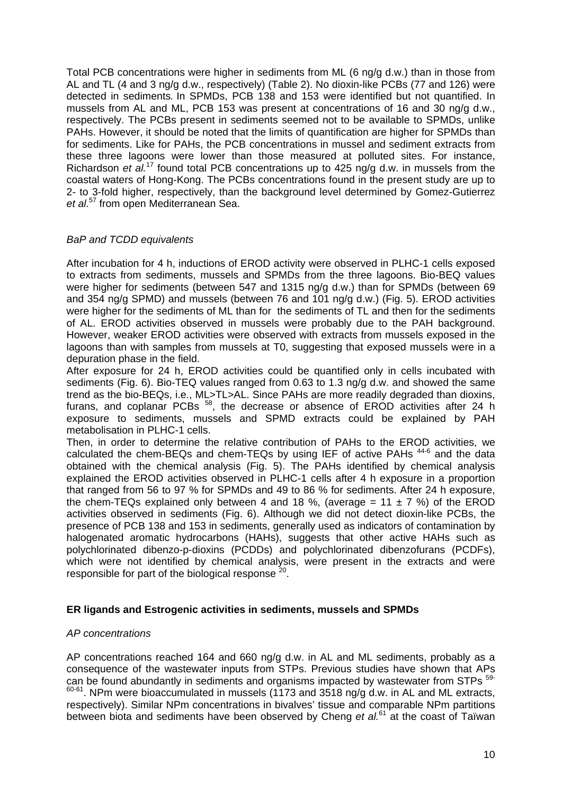Total PCB concentrations were higher in sediments from ML (6 ng/g d.w.) than in those from AL and TL (4 and 3 ng/g d.w., respectively) (Table 2). No dioxin-like PCBs (77 and 126) were detected in sediments*.* In SPMDs, PCB 138 and 153 were identified but not quantified. In mussels from AL and ML, PCB 153 was present at concentrations of 16 and 30 ng/g d.w., respectively. The PCBs present in sediments seemed not to be available to SPMDs, unlike PAHs. However, it should be noted that the limits of quantification are higher for SPMDs than for sediments. Like for PAHs, the PCB concentrations in mussel and sediment extracts from these three lagoons were lower than those measured at polluted sites. For instance, Richardson *et al.*17 found total PCB concentrations up to 425 ng/g d.w. in mussels from the coastal waters of Hong-Kong. The PCBs concentrations found in the present study are up to 2- to 3-fold higher, respectively, than the background level determined by Gomez-Gutierrez *et al.*57 from open Mediterranean Sea.

## *BaP and TCDD equivalents*

After incubation for 4 h, inductions of EROD activity were observed in PLHC-1 cells exposed to extracts from sediments, mussels and SPMDs from the three lagoons. Bio-BEQ values were higher for sediments (between 547 and 1315 ng/g d.w.) than for SPMDs (between 69 and 354 ng/g SPMD) and mussels (between 76 and 101 ng/g d.w.) (Fig. 5). EROD activities were higher for the sediments of ML than for the sediments of TL and then for the sediments of AL. EROD activities observed in mussels were probably due to the PAH background. However, weaker EROD activities were observed with extracts from mussels exposed in the lagoons than with samples from mussels at T0, suggesting that exposed mussels were in a depuration phase in the field.

After exposure for 24 h, EROD activities could be quantified only in cells incubated with sediments (Fig. 6). Bio-TEQ values ranged from 0.63 to 1.3 ng/g d.w. and showed the same trend as the bio-BEQs, i.e., ML>TL>AL. Since PAHs are more readily degraded than dioxins, furans, and coplanar PCBs <sup>58</sup>, the decrease or absence of EROD activities after 24 h exposure to sediments, mussels and SPMD extracts could be explained by PAH metabolisation in PLHC-1 cells.

Then, in order to determine the relative contribution of PAHs to the EROD activities, we calculated the chem-BEQs and chem-TEQs by using IEF of active PAHs 44-6 and the data obtained with the chemical analysis (Fig. 5). The PAHs identified by chemical analysis explained the EROD activities observed in PLHC-1 cells after 4 h exposure in a proportion that ranged from 56 to 97 % for SPMDs and 49 to 86 % for sediments. After 24 h exposure, the chem-TEQs explained only between 4 and 18 %, (average = 11  $\pm$  7 %) of the EROD activities observed in sediments (Fig. 6). Although we did not detect dioxin-like PCBs, the presence of PCB 138 and 153 in sediments, generally used as indicators of contamination by halogenated aromatic hydrocarbons (HAHs), suggests that other active HAHs such as polychlorinated dibenzo-p-dioxins (PCDDs) and polychlorinated dibenzofurans (PCDFs), which were not identified by chemical analysis, were present in the extracts and were responsible for part of the biological response  $20$ .

## **ER ligands and Estrogenic activities in sediments, mussels and SPMDs**

### *AP concentrations*

AP concentrations reached 164 and 660 ng/g d.w. in AL and ML sediments, probably as a consequence of the wastewater inputs from STPs. Previous studies have shown that APs can be found abundantly in sediments and organisms impacted by wastewater from STPs  $59 60-61$ . NPm were bioaccumulated in mussels (1173 and 3518 ng/g d.w. in AL and ML extracts, respectively). Similar NPm concentrations in bivalves' tissue and comparable NPm partitions between biota and sediments have been observed by Cheng *et al.*61 at the coast of Taïwan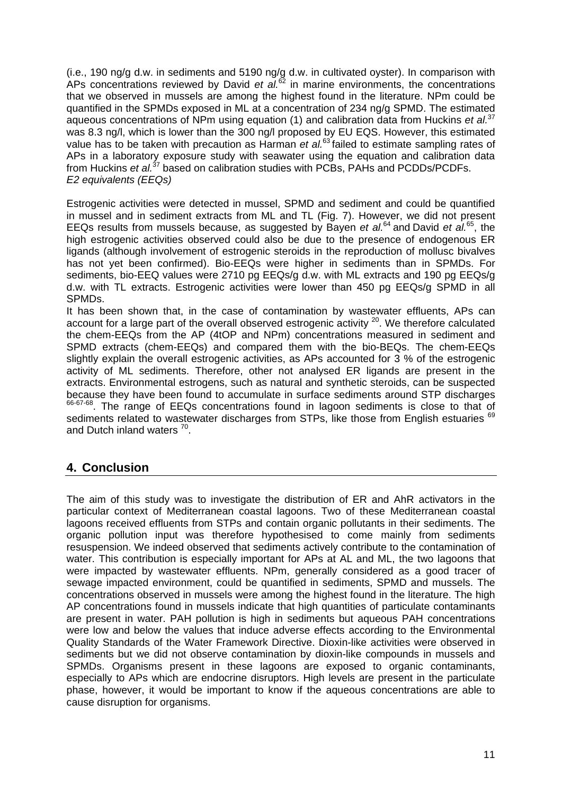(i.e., 190 ng/g d.w. in sediments and 5190 ng/g d.w. in cultivated oyster). In comparison with APs concentrations reviewed by David *et al.*<sup>62</sup> in marine environments, the concentrations that we observed in mussels are among the highest found in the literature. NPm could be quantified in the SPMDs exposed in ML at a concentration of 234 ng/g SPMD. The estimated aqueous concentrations of NPm using equation (1) and calibration data from Huckins *et al.*<sup>37</sup> was 8.3 ng/l, which is lower than the 300 ng/l proposed by EU EQS. However, this estimated value has to be taken with precaution as Harman *et al.*63 failed to estimate sampling rates of APs in a laboratory exposure study with seawater using the equation and calibration data from Huckins *et al.*37 based on calibration studies with PCBs, PAHs and PCDDs/PCDFs. *E2 equivalents (EEQs)* 

Estrogenic activities were detected in mussel, SPMD and sediment and could be quantified in mussel and in sediment extracts from ML and TL (Fig. 7). However, we did not present EEQs results from mussels because, as suggested by Bayen *et al.*64 and David *et al.*65, the high estrogenic activities observed could also be due to the presence of endogenous ER ligands (although involvement of estrogenic steroids in the reproduction of mollusc bivalves has not yet been confirmed). Bio-EEQs were higher in sediments than in SPMDs. For sediments, bio-EEQ values were 2710 pg EEQs/g d.w. with ML extracts and 190 pg EEQs/g d.w. with TL extracts. Estrogenic activities were lower than 450 pg EEQs/g SPMD in all SPMDs.

It has been shown that, in the case of contamination by wastewater effluents, APs can account for a large part of the overall observed estrogenic activity <sup>20</sup>. We therefore calculated the chem-EEQs from the AP (4tOP and NPm) concentrations measured in sediment and SPMD extracts (chem-EEQs) and compared them with the bio-BEQs. The chem-EEQs slightly explain the overall estrogenic activities, as APs accounted for 3 % of the estrogenic activity of ML sediments. Therefore, other not analysed ER ligands are present in the extracts. Environmental estrogens, such as natural and synthetic steroids, can be suspected because they have been found to accumulate in surface sediments around STP discharges 66-67-68. The range of EEQs concentrations found in lagoon sediments is close to that of sediments related to wastewater discharges from STPs, like those from English estuaries 69 and Dutch inland waters<sup>70</sup>.

# **4. Conclusion**

The aim of this study was to investigate the distribution of ER and AhR activators in the particular context of Mediterranean coastal lagoons. Two of these Mediterranean coastal lagoons received effluents from STPs and contain organic pollutants in their sediments. The organic pollution input was therefore hypothesised to come mainly from sediments resuspension. We indeed observed that sediments actively contribute to the contamination of water. This contribution is especially important for APs at AL and ML, the two lagoons that were impacted by wastewater effluents. NPm, generally considered as a good tracer of sewage impacted environment, could be quantified in sediments, SPMD and mussels. The concentrations observed in mussels were among the highest found in the literature. The high AP concentrations found in mussels indicate that high quantities of particulate contaminants are present in water. PAH pollution is high in sediments but aqueous PAH concentrations were low and below the values that induce adverse effects according to the Environmental Quality Standards of the Water Framework Directive. Dioxin-like activities were observed in sediments but we did not observe contamination by dioxin-like compounds in mussels and SPMDs. Organisms present in these lagoons are exposed to organic contaminants, especially to APs which are endocrine disruptors. High levels are present in the particulate phase, however, it would be important to know if the aqueous concentrations are able to cause disruption for organisms.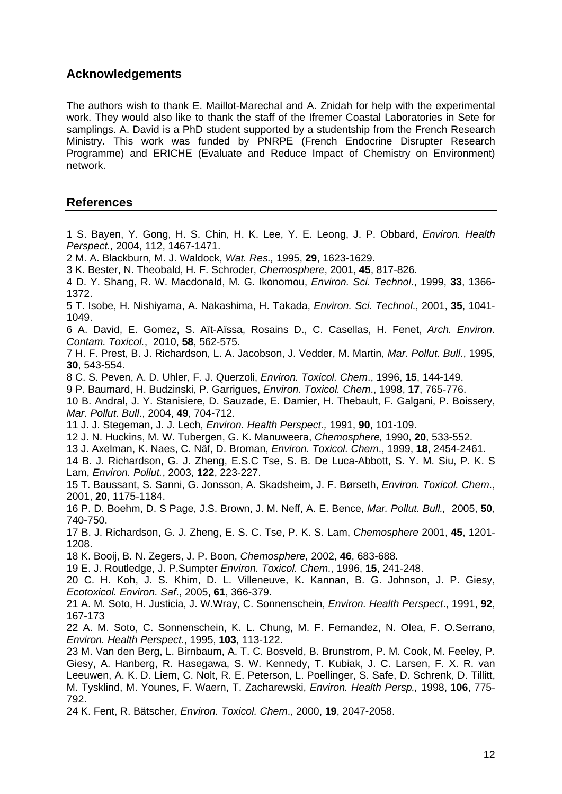# **Acknowledgements**

The authors wish to thank E. Maillot-Marechal and A. Znidah for help with the experimental work. They would also like to thank the staff of the Ifremer Coastal Laboratories in Sete for samplings. A. David is a PhD student supported by a studentship from the French Research Ministry. This work was funded by PNRPE (French Endocrine Disrupter Research Programme) and ERICHE (Evaluate and Reduce Impact of Chemistry on Environment) network.

# **References**

1 S. Bayen, Y. Gong, H. S. Chin, H. K. Lee, Y. E. Leong, J. P. Obbard, *Environ. Health Perspect.,* 2004, 112, 1467-1471. 2 M. A. Blackburn, M. J. Waldock, *Wat. Res.,* 1995, **29**, 1623-1629. 3 K. Bester, N. Theobald, H. F. Schroder, *Chemosphere*, 2001, **45**, 817-826. 4 D. Y. Shang, R. W. Macdonald, M. G. Ikonomou, *Environ. Sci. Technol*., 1999, **33**, 1366- 1372. 5 T. Isobe, H. Nishiyama, A. Nakashima, H. Takada, *Environ. Sci. Technol*., 2001, **35**, 1041- 1049.

6 A. David, E. Gomez, S. Aït-Aïssa, Rosains D., C. Casellas, H. Fenet, *Arch. Environ. Contam. Toxicol.*, 2010, **58**, 562-575.

7 H. F. Prest, B. J. Richardson, L. A. Jacobson, J. Vedder, M. Martin, *Mar. Pollut. Bull*., 1995, **30**, 543-554.

8 C. S. Peven, A. D. Uhler, F. J. Querzoli, *Environ. Toxicol. Chem*., 1996, **15**, 144-149.

9 P. Baumard, H. Budzinski, P. Garrigues, *Environ. Toxicol. Chem*., 1998, **17**, 765-776.

10 B. Andral, J. Y. Stanisiere, D. Sauzade, E. Damier, H. Thebault, F. Galgani, P. Boissery, *Mar. Pollut. Bull*., 2004, **49**, 704-712.

11 J. J. Stegeman, J. J. Lech, *Environ. Health Perspect.,* 1991, **90**, 101-109.

12 J. N. Huckins, M. W. Tubergen, G. K. Manuweera, *Chemosphere,* 1990, **20**, 533-552.

13 J. Axelman, K. Naes, C. Näf, D. Broman, *Environ. Toxicol. Chem*., 1999, **18**, 2454-2461.

14 B. J. Richardson, G. J. Zheng, E.S.C Tse, S. B. De Luca-Abbott, S. Y. M. Siu, P. K. S Lam, *Environ. Pollut.*, 2003, **122**, 223-227.

15 T. Baussant, S. Sanni, G. Jonsson, A. Skadsheim, J. F. Børseth, *Environ. Toxicol. Chem*., 2001, **20**, 1175-1184.

16 P. D. Boehm, D. S Page, J.S. Brown, J. M. Neff, A. E. Bence, *Mar. Pollut. Bull.,* 2005, **50**, 740-750.

17 B. J. Richardson, G. J. Zheng, E. S. C. Tse, P. K. S. Lam, *Chemosphere* 2001, **45**, 1201- 1208.

18 K. Booij, B. N. Zegers, J. P. Boon, *Chemosphere,* 2002, **46**, 683-688.

19 E. J. Routledge, J. P.Sumpter *Environ. Toxicol. Chem*., 1996, **15**, 241-248.

20 C. H. Koh, J. S. Khim, D. L. Villeneuve, K. Kannan, B. G. Johnson, J. P. Giesy, *Ecotoxicol. Environ. Saf*., 2005, **61**, 366-379.

21 A. M. Soto, H. Justicia, J. W.Wray, C. Sonnenschein, *Environ. Health Perspect*., 1991, **92**, 167-173

22 A. M. Soto, C. Sonnenschein, K. L. Chung, M. F. Fernandez, N. Olea, F. O.Serrano, *Environ. Health Perspect*., 1995, **103**, 113-122.

23 M. Van den Berg, L. Birnbaum, A. T. C. Bosveld, B. Brunstrom, P. M. Cook, M. Feeley, P. Giesy, A. Hanberg, R. Hasegawa, S. W. Kennedy, T. Kubiak, J. C. Larsen, F. X. R. van Leeuwen, A. K. D. Liem, C. Nolt, R. E. Peterson, L. Poellinger, S. Safe, D. Schrenk, D. Tillitt, M. Tysklind, M. Younes, F. Waern, T. Zacharewski, *Environ. Health Persp.,* 1998, **106**, 775- 792.

24 K. Fent, R. Bätscher, *Environ. Toxicol. Chem*., 2000, **19**, 2047-2058.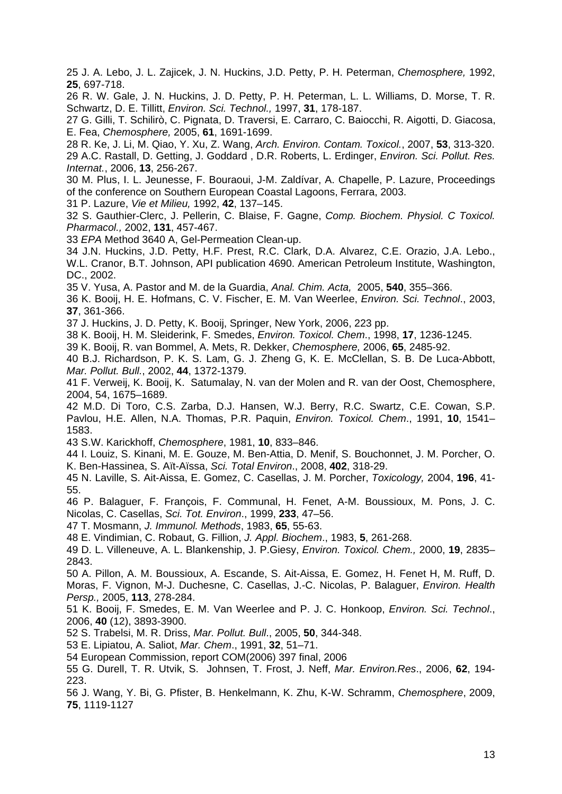25 J. A. Lebo, J. L. Zajicek, J. N. Huckins, J.D. Petty, P. H. Peterman, *Chemosphere,* 1992, **25**, 697-718.

26 R. W. Gale, J. N. Huckins, J. D. Petty, P. H. Peterman, L. L. Williams, D. Morse, T. R. Schwartz, D. E. Tillitt, *Environ. Sci. Technol.,* 1997, **31**, 178-187.

27 G. Gilli, T. Schilirò, C. Pignata, D. Traversi, E. Carraro, C. Baiocchi, R. Aigotti, D. Giacosa, E. Fea, *Chemosphere,* 2005, **61**, 1691-1699.

28 R. Ke, J. Li, M. Qiao, Y. Xu, Z. Wang, *Arch. Environ. Contam. Toxicol.*, 2007, **53**, 313-320. 29 A.C. Rastall, D. Getting, J. Goddard , D.R. Roberts, L. Erdinger, *Environ. Sci. Pollut. Res. Internat.*, 2006, **13**, 256-267.

30 M. Plus, I. L. Jeunesse, F. Bouraoui, J-M. Zaldívar, A. Chapelle, P. Lazure, Proceedings of the conference on Southern European Coastal Lagoons, Ferrara, 2003.

31 P. Lazure, *Vie et Milieu,* 1992, **42**, 137–145.

32 S. Gauthier-Clerc, J. Pellerin, C. Blaise, F. Gagne, *Comp. Biochem. Physiol. C Toxicol. Pharmacol.,* 2002, **131**, 457-467.

33 *EPA* Method 3640 A, Gel-Permeation Clean-up.

34 J.N. Huckins, J.D. Petty, H.F. Prest, R.C. Clark, D.A. Alvarez, C.E. Orazio, J.A. Lebo., W.L. Cranor, B.T. Johnson, API publication 4690. American Petroleum Institute, Washington, DC., 2002.

35 V. Yusa, A. Pastor and M. de la Guardia, *Anal. Chim. Acta,* 2005, **540**, 355–366.

36 K. Booij, H. E. Hofmans, C. V. Fischer, E. M. Van Weerlee, *Environ. Sci. Technol*., 2003, **37**, 361-366.

37 J. Huckins, J. D. Petty, K. Booij, Springer, New York, 2006, 223 pp.

38 K. Booij, H. M. Sleiderink, F. Smedes, *Environ. Toxicol. Chem*., 1998, **17**, 1236-1245.

39 K. Booij, R. van Bommel, A. Mets, R. Dekker, *Chemosphere,* 2006, **65**, 2485-92.

40 B.J. Richardson, P. K. S. Lam, G. J. Zheng G, K. E. McClellan, S. B. De Luca-Abbott, *Mar. Pollut. Bull.*, 2002, **44**, 1372-1379.

41 F. Verweij, K. Booij, K. Satumalay, N. van der Molen and R. van der Oost, Chemosphere, 2004, 54, 1675–1689.

42 M.D. Di Toro, C.S. Zarba, D.J. Hansen, W.J. Berry, R.C. Swartz, C.E. Cowan, S.P. Pavlou, H.E. Allen, N.A. Thomas, P.R. Paquin, *Environ. Toxicol. Chem*., 1991, **10**, 1541– 1583.

43 S.W. Karickhoff, *Chemosphere*, 1981, **10**, 833–846.

44 I. Louiz, S. Kinani, M. E. Gouze, M. Ben-Attia, D. Menif, S. Bouchonnet, J. M. Porcher, O. K. Ben-Hassinea, S. Aït-Aïssa, *Sci. Total Environ*., 2008, **402**, 318-29.

45 N. Laville, S. Ait-Aissa, E. Gomez, C. Casellas, J. M. Porcher, *Toxicology,* 2004, **196**, 41- 55.

46 P. Balaguer, F. François, F. Communal, H. Fenet, A-M. Boussioux, M. Pons, J. C. Nicolas, C. Casellas, *Sci. Tot. Environ*., 1999, **233**, 47–56.

47 T. Mosmann, *J. Immunol. Methods*, 1983, **65**, 55-63.

48 E. Vindimian, C. Robaut, G. Fillion, *J. Appl. Biochem*., 1983, **5**, 261-268.

49 D. L. Villeneuve, A. L. Blankenship, J. P.Giesy, *Environ. Toxicol. Chem.,* 2000, **19**, 2835– 2843.

50 A. Pillon, A. M. Boussioux, A. Escande, S. Ait-Aissa, E. Gomez, H. Fenet H, M. Ruff, D. Moras, F. Vignon, M-J. Duchesne, C. Casellas, J.-C. Nicolas, P. Balaguer, *Environ. Health Persp.,* 2005, **113**, 278-284.

51 K. Booij, F. Smedes, E. M. Van Weerlee and P. J. C. Honkoop, *Environ. Sci. Technol*., 2006, **40** (12), 3893-3900.

52 S. Trabelsi, M. R. Driss, *Mar. Pollut. Bull*., 2005, **50**, 344-348.

53 E. Lipiatou, A. Saliot, *Mar. Chem*., 1991, **32**, 51–71.

54 European Commission, report COM(2006) 397 final, 2006

55 G. Durell, T. R. Utvik, S. Johnsen, T. Frost, J. Neff, *Mar. Environ.Res*., 2006, **62**, 194- 223.

56 J. Wang, Y. Bi, G. Pfister, B. Henkelmann, K. Zhu, K-W. Schramm, *Chemosphere*, 2009, **75**, 1119-1127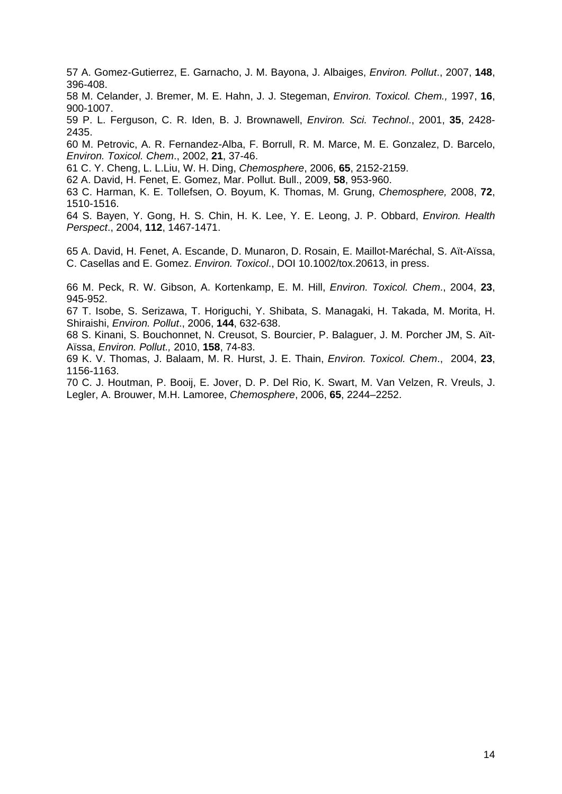57 A. Gomez-Gutierrez, E. Garnacho, J. M. Bayona, J. Albaiges, *Environ. Pollut*., 2007, **148**, 396-408.

58 M. Celander, J. Bremer, M. E. Hahn, J. J. Stegeman, *Environ. Toxicol. Chem.,* 1997, **16**, 900-1007.

59 P. L. Ferguson, C. R. Iden, B. J. Brownawell, *Environ. Sci. Technol*., 2001, **35**, 2428- 2435.

60 M. Petrovic, A. R. Fernandez-Alba, F. Borrull, R. M. Marce, M. E. Gonzalez, D. Barcelo, *Environ. Toxicol. Chem*., 2002, **21**, 37-46.

61 C. Y. Cheng, L. L.Liu, W. H. Ding, *Chemosphere*, 2006, **65**, 2152-2159.

62 A. David, H. Fenet, E. Gomez, Mar. Pollut. Bull., 2009, **58**, 953-960.

63 C. Harman, K. E. Tollefsen, O. Boyum, K. Thomas, M. Grung, *Chemosphere,* 2008, **72**, 1510-1516.

64 S. Bayen, Y. Gong, H. S. Chin, H. K. Lee, Y. E. Leong, J. P. Obbard, *Environ. Health Perspect*., 2004, **112**, 1467-1471.

65 A. David, H. Fenet, A. Escande, D. Munaron, D. Rosain, E. Maillot-Maréchal, S. Aït-Aïssa, C. Casellas and E. Gomez. *Environ. Toxicol*., DOI 10.1002/tox.20613, in press.

66 M. Peck, R. W. Gibson, A. Kortenkamp, E. M. Hill, *Environ. Toxicol. Chem*., 2004, **23**, 945-952.

67 T. Isobe, S. Serizawa, T. Horiguchi, Y. Shibata, S. Managaki, H. Takada, M. Morita, H. Shiraishi, *Environ. Pollut*., 2006, **144**, 632-638.

68 S. Kinani, S. Bouchonnet, N. Creusot, S. Bourcier, P. Balaguer, J. M. Porcher JM, S. Aït-Aïssa, *Environ. Pollut.,* 2010, **158**, 74-83.

69 K. V. Thomas, J. Balaam, M. R. Hurst, J. E. Thain, *Environ. Toxicol. Chem*., 2004, **23**, 1156-1163.

70 C. J. Houtman, P. Booij, E. Jover, D. P. Del Rio, K. Swart, M. Van Velzen, R. Vreuls, J. Legler, A. Brouwer, M.H. Lamoree, *Chemosphere*, 2006, **65**, 2244–2252.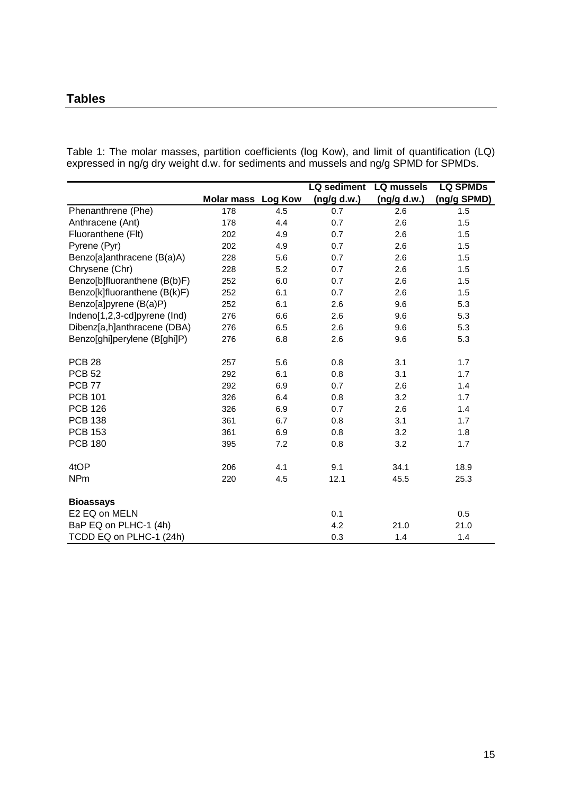# **Tables**

Table 1: The molar masses, partition coefficients (log Kow), and limit of quantification (LQ) expressed in ng/g dry weight d.w. for sediments and mussels and ng/g SPMD for SPMDs.

|                              |                           |     | <b>LQ</b> sediment | LQ mussels  | <b>LQ SPMDs</b> |
|------------------------------|---------------------------|-----|--------------------|-------------|-----------------|
|                              | <b>Molar mass Log Kow</b> |     | (ng/g d.w.)        | (ng/g d.w.) | (ng/g SPMD)     |
| Phenanthrene (Phe)           | 178                       | 4.5 | 0.7                | 2.6         | 1.5             |
| Anthracene (Ant)             | 178                       | 4.4 | 0.7                | 2.6         | 1.5             |
| Fluoranthene (Flt)           | 202                       | 4.9 | 0.7                | 2.6         | 1.5             |
| Pyrene (Pyr)                 | 202                       | 4.9 | 0.7                | 2.6         | 1.5             |
| Benzo[a]anthracene (B(a)A)   | 228                       | 5.6 | 0.7                | 2.6         | 1.5             |
| Chrysene (Chr)               | 228                       | 5.2 | 0.7                | 2.6         | 1.5             |
| Benzo[b]fluoranthene (B(b)F) | 252                       | 6.0 | 0.7                | 2.6         | 1.5             |
| Benzo[k]fluoranthene (B(k)F) | 252                       | 6.1 | 0.7                | 2.6         | 1.5             |
| Benzo[a]pyrene (B(a)P)       | 252                       | 6.1 | 2.6                | 9.6         | 5.3             |
| Indeno[1,2,3-cd]pyrene (Ind) | 276                       | 6.6 | 2.6                | 9.6         | 5.3             |
| Dibenz[a,h]anthracene (DBA)  | 276                       | 6.5 | 2.6                | 9.6         | 5.3             |
| Benzo[ghi]perylene (B[ghi]P) | 276                       | 6.8 | 2.6                | 9.6         | 5.3             |
|                              |                           |     |                    |             |                 |
| <b>PCB 28</b>                | 257                       | 5.6 | 0.8                | 3.1         | 1.7             |
| <b>PCB 52</b>                | 292                       | 6.1 | 0.8                | 3.1         | 1.7             |
| <b>PCB 77</b>                | 292                       | 6.9 | 0.7                | 2.6         | 1.4             |
| <b>PCB 101</b>               | 326                       | 6.4 | 0.8                | 3.2         | 1.7             |
| <b>PCB 126</b>               | 326                       | 6.9 | 0.7                | 2.6         | 1.4             |
| <b>PCB 138</b>               | 361                       | 6.7 | 0.8                | 3.1         | 1.7             |
| <b>PCB 153</b>               | 361                       | 6.9 | 0.8                | 3.2         | 1.8             |
| <b>PCB 180</b>               | 395                       | 7.2 | 0.8                | 3.2         | 1.7             |
|                              |                           |     |                    |             |                 |
| 4tOP                         | 206                       | 4.1 | 9.1                | 34.1        | 18.9            |
| <b>NPm</b>                   | 220                       | 4.5 | 12.1               | 45.5        | 25.3            |
|                              |                           |     |                    |             |                 |
| <b>Bioassays</b>             |                           |     |                    |             |                 |
| E2 EQ on MELN                |                           |     | 0.1                |             | 0.5             |
| BaP EQ on PLHC-1 (4h)        |                           |     | 4.2                | 21.0        | 21.0            |
| TCDD EQ on PLHC-1 (24h)      |                           |     | 0.3                | 1.4         | 1.4             |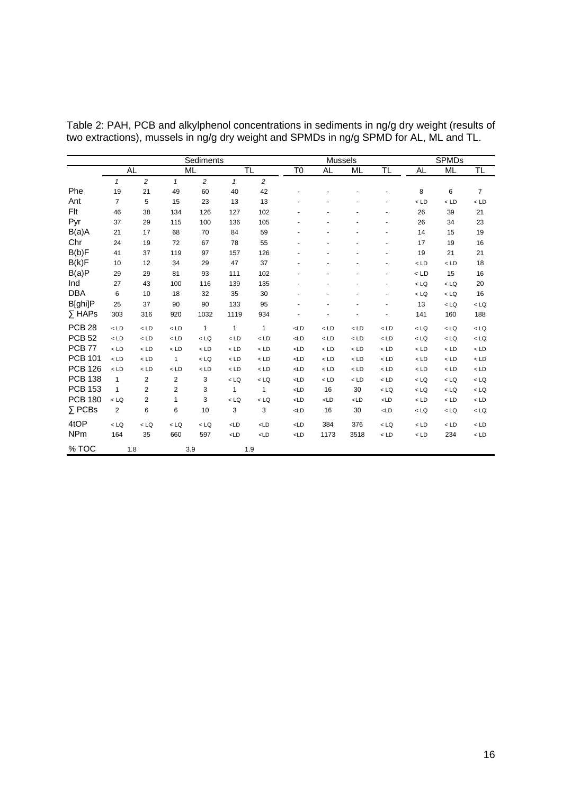|                   | Sediments      |                |                |                |                | <b>Mussels</b> |                |                |             | <b>SPMDs</b> |             |             |        |
|-------------------|----------------|----------------|----------------|----------------|----------------|----------------|----------------|----------------|-------------|--------------|-------------|-------------|--------|
|                   |                | <b>AL</b>      |                | <b>ML</b>      | TL             |                | T <sub>0</sub> | <b>AL</b>      | ML          | TL           | <b>AL</b>   | <b>ML</b>   | TL     |
|                   | $\mathbf{1}$   | $\overline{a}$ | $\mathbf{1}$   | $\overline{2}$ | $\mathbf{1}$   | 2              |                |                |             |              |             |             |        |
| Phe               | 19             | 21             | 49             | 60             | 40             | 42             |                |                |             |              | 8           | 6           | 7      |
| Ant               | $\overline{7}$ | 5              | 15             | 23             | 13             | 13             |                |                |             |              | $<$ LD      | $<$ LD      | $<$ LD |
| Flt               | 46             | 38             | 134            | 126            | 127            | 102            |                |                |             |              | 26          | 39          | 21     |
| Pyr               | 37             | 29             | 115            | 100            | 136            | 105            |                |                |             |              | 26          | 34          | 23     |
| B(a)A             | 21             | 17             | 68             | 70             | 84             | 59             |                |                |             |              | 14          | 15          | 19     |
| Chr               | 24             | 19             | 72             | 67             | 78             | 55             |                |                |             |              | 17          | 19          | 16     |
| B(b)F             | 41             | 37             | 119            | 97             | 157            | 126            |                |                |             |              | 19          | 21          | 21     |
| B(k)F             | 10             | 12             | 34             | 29             | 47             | 37             |                |                |             |              | $<$ LD      | $<$ LD      | 18     |
| B(a)P             | 29             | 29             | 81             | 93             | 111            | 102            |                |                |             |              | $<$ LD      | 15          | 16     |
| Ind               | 27             | 43             | 100            | 116            | 139            | 135            |                |                |             | ٠            | $<$ LQ      | $<$ LQ      | 20     |
| <b>DBA</b>        | 6              | 10             | 18             | 32             | 35             | 30             |                |                |             |              | $<$ LQ      | $<$ LQ      | 16     |
| B[ghi]P           | 25             | 37             | 90             | 90             | 133            | 95             |                |                |             |              | 13          | $<$ LQ      | $<$ LQ |
| $\Sigma$ HAPs     | 303            | 316            | 920            | 1032           | 1119           | 934            |                |                |             |              | 141         | 160         | 188    |
| PCB <sub>28</sub> | $<$ LD         | $<$ LD         | $<$ LD $\,$    | $\mathbf{1}$   | $\mathbf{1}$   | $\mathbf{1}$   | $L$ D          | $<$ LD         | $<$ LD      | $<$ LD       | $<$ LQ      | $<$ LQ      | $<$ LQ |
| <b>PCB 52</b>     | $<$ LD         | $<$ LD         | $<$ LD $\,$    | $<$ LQ         | $<$ LD         | $<$ LD         | L <sub>D</sub> | $<$ LD         | $<$ LD      | $<$ LD       | $<$ LQ      | $<$ LQ $\,$ | $<$ LQ |
| <b>PCB 77</b>     | $<$ LD         | $<$ LD         | $<$ LD $\,$    | $<$ LD         | $<$ LD         | $<$ LD         | L <sub>D</sub> | $<$ LD         | $<$ LD $\,$ | $<$ LD       | $<$ LD $\,$ | $<$ LD      | $<$ LD |
| <b>PCB 101</b>    | $<$ LD         | $<$ LD         | $\mathbf{1}$   | $<$ LQ         | $<$ LD         | $<$ LD         | L <sub>D</sub> | $<$ LD         | $<$ LD $\,$ | $<$ LD       | $<$ LD $\,$ | $<$ LD      | $<$ LD |
| <b>PCB 126</b>    | $<$ LD         | $<$ LD         | $<$ LD $\,$    | $<$ LD         | $<$ LD         | $<$ LD         | L <sub>D</sub> | $<$ LD         | $<$ LD      | $<$ LD       | $<$ LD $\,$ | $<$ LD      | $<$ LD |
| <b>PCB 138</b>    | $\mathbf{1}$   | $\overline{2}$ | $\overline{2}$ | 3              | $<$ LQ         | $<$ LQ         | $<$ LD         | $<$ LD         | $<$ LD      | $<$ LD       | $<$ LQ      | $<$ LQ      | $<$ LQ |
| <b>PCB 153</b>    | $\mathbf{1}$   | 2              | 2              | 3              | 1              | $\mathbf{1}$   | L <sub>D</sub> | 16             | 30          | $<$ LQ       | $<$ LQ      | $<$ LQ      | $<$ LQ |
| <b>PCB 180</b>    | $<$ LQ         | $\overline{2}$ | 1              | 3              | $<$ LQ         | $<$ LQ         | L <sub>D</sub> | L <sub>D</sub> | $L$ D       | L            | $<$ LD $\,$ | $<$ LD      | $<$ LD |
| $\Sigma$ PCBs     | $\overline{2}$ | 6              | 6              | 10             | 3              | 3              | L <sub>D</sub> | 16             | 30          | L            | $<$ LQ      | $<$ LQ      | $<$ LQ |
| 4tOP              | $<$ LQ         | $<$ LQ         | $<$ LQ         | $<$ LQ         | $L$ D          | $<$ LD         | L <sub>D</sub> | 384            | 376         | $<$ LQ       | $<$ LD $\,$ | $<$ LD      | $<$ LD |
| <b>NPm</b>        | 164            | 35             | 660            | 597            | L <sub>D</sub> | $<$ LD         | $<$ LD         | 1173           | 3518        | $<$ LD       | $<$ LD $\,$ | 234         | $<$ LD |
| % TOC             |                | 1.8            |                | 3.9            | 1.9            |                |                |                |             |              |             |             |        |

Table 2: PAH, PCB and alkylphenol concentrations in sediments in ng/g dry weight (results of two extractions), mussels in ng/g dry weight and SPMDs in ng/g SPMD for AL, ML and TL.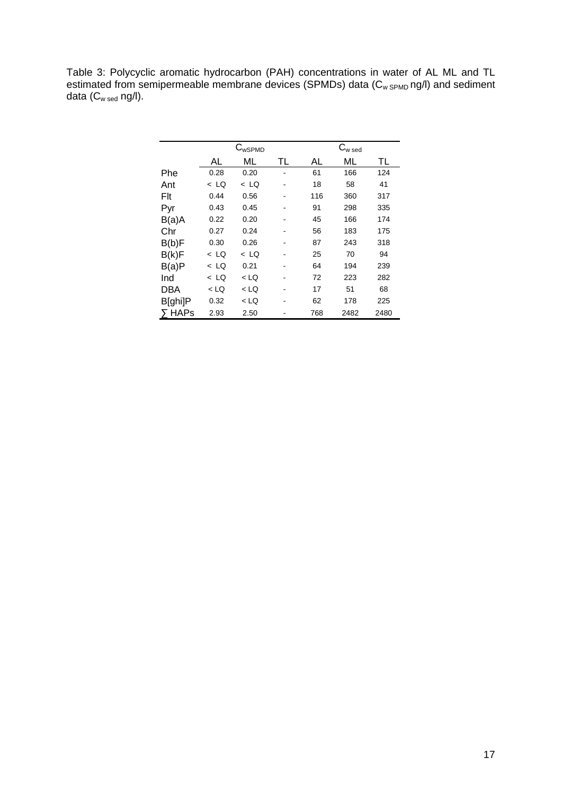Table 3: Polycyclic aromatic hydrocarbon (PAH) concentrations in water of AL ML and TL estimated from semipermeable membrane devices (SPMDs) data (C<sub>w SPMD</sub> ng/l) and sediment data (C<sub>w sed</sub> ng/l).

|               | $C_{wSPMD}$ |        |    | $\textsf{C}_{\textsf{w}\,\textsf{sed}}$ |      |      |  |
|---------------|-------------|--------|----|-----------------------------------------|------|------|--|
|               | AL          | МL     | TL | AL                                      | МL   | TL   |  |
| Phe           | 0.28        | 0.20   |    | 61                                      | 166  | 124  |  |
| Ant           | $<$ LQ      | < LQ   |    | 18                                      | 58   | 41   |  |
| Flt           | 0.44        | 0.56   |    | 116                                     | 360  | 317  |  |
| Pyr           | 0.43        | 0.45   |    | 91                                      | 298  | 335  |  |
| B(a)A         | 0.22        | 0.20   |    | 45                                      | 166  | 174  |  |
| Chr           | 0.27        | 0.24   |    | 56                                      | 183  | 175  |  |
| B(b)F         | 0.30        | 0.26   |    | 87                                      | 243  | 318  |  |
| B(k)F         | < LQ        | $<$ LQ |    | 25                                      | 70   | 94   |  |
| B(a)P         | $<$ LQ      | 0.21   |    | 64                                      | 194  | 239  |  |
| Ind           | $<$ LQ      | $<$ LQ |    | 72                                      | 223  | 282  |  |
| DBA           | < LQ        | < LQ   |    | 17                                      | 51   | 68   |  |
| B[ghi]P       | 0.32        | $<$ LQ |    | 62                                      | 178  | 225  |  |
| $\Sigma$ HAPs | 2.93        | 2.50   |    | 768                                     | 2482 | 2480 |  |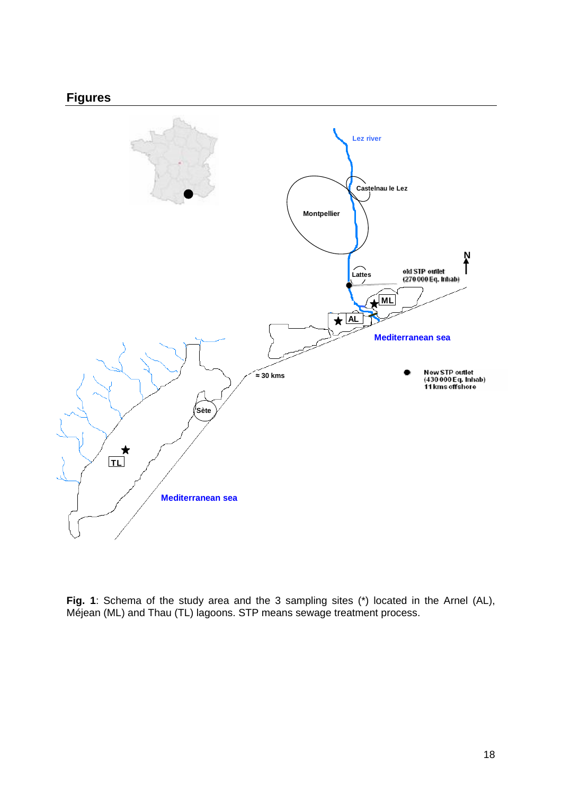# **Figures**



**Fig. 1**: Schema of the study area and the 3 sampling sites (\*) located in the Arnel (AL), Méjean (ML) and Thau (TL) lagoons. STP means sewage treatment process.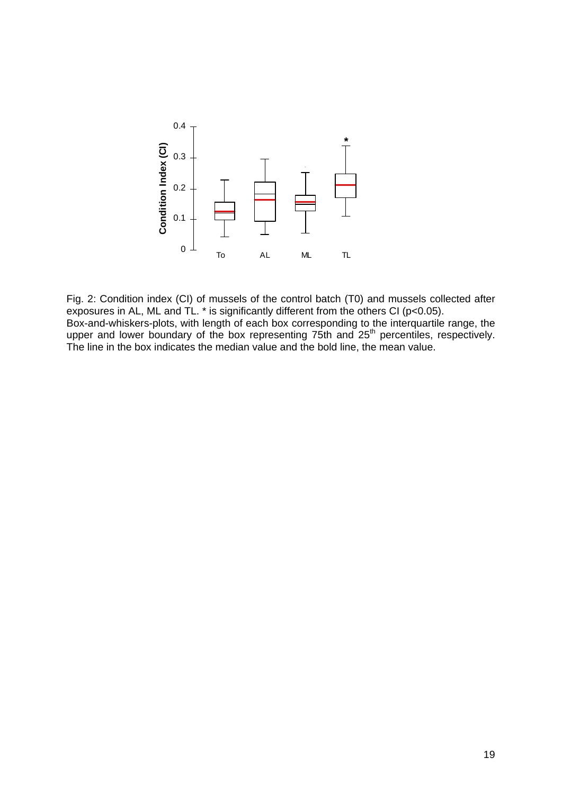

Fig. 2: Condition index (CI) of mussels of the control batch (T0) and mussels collected after exposures in AL, ML and TL. \* is significantly different from the others CI (p<0.05). Box-and-whiskers-plots, with length of each box corresponding to the interquartile range, the upper and lower boundary of the box representing 75th and 25<sup>th</sup> percentiles, respectively. The line in the box indicates the median value and the bold line, the mean value.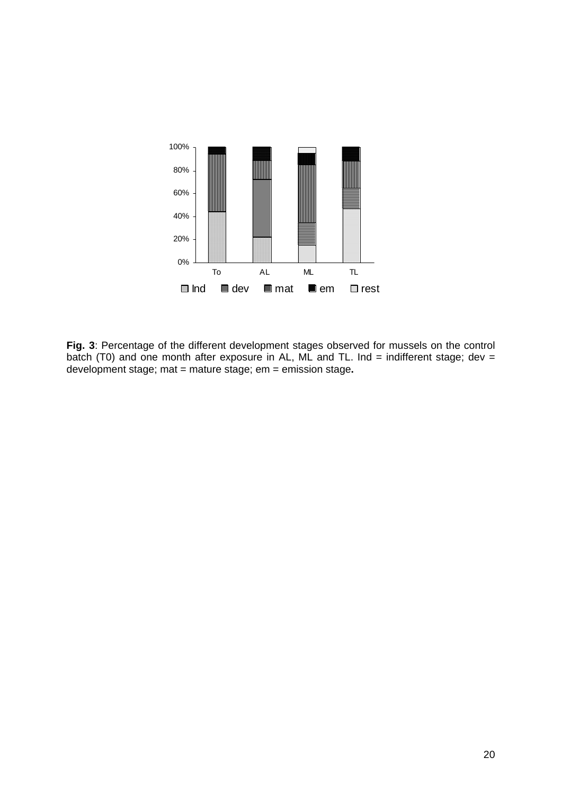

**Fig. 3**: Percentage of the different development stages observed for mussels on the control batch (T0) and one month after exposure in AL, ML and TL. Ind = indifferent stage; dev = development stage; mat = mature stage; em = emission stage**.**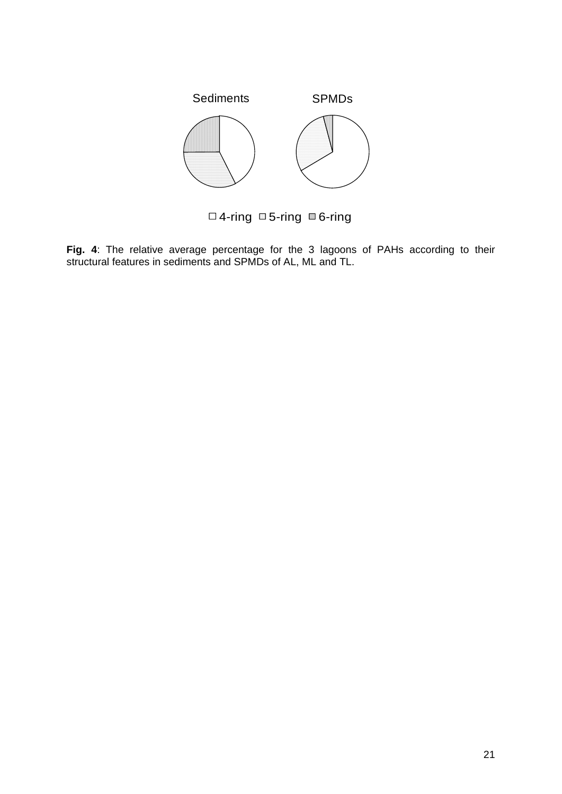

**Fig. 4**: The relative average percentage for the 3 lagoons of PAHs according to their structural features in sediments and SPMDs of AL, ML and TL.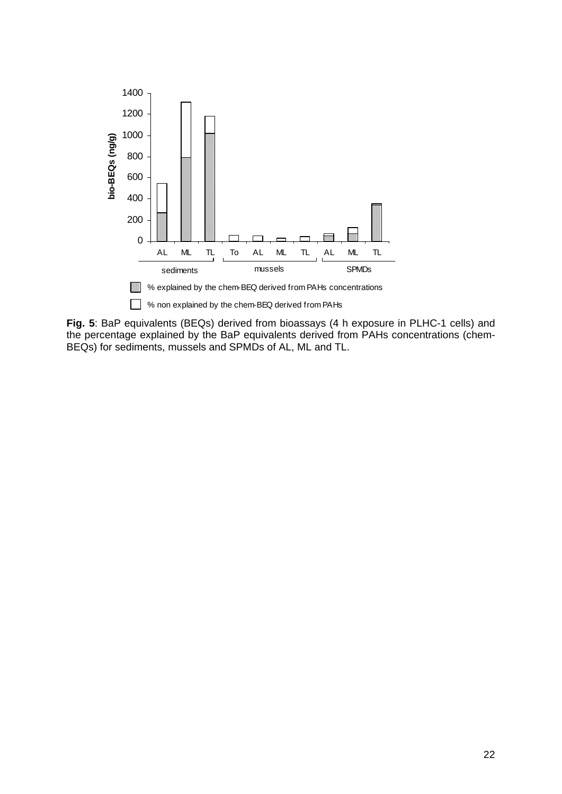

**Fig. 5**: BaP equivalents (BEQs) derived from bioassays (4 h exposure in PLHC-1 cells) and the percentage explained by the BaP equivalents derived from PAHs concentrations (chem-BEQs) for sediments, mussels and SPMDs of AL, ML and TL.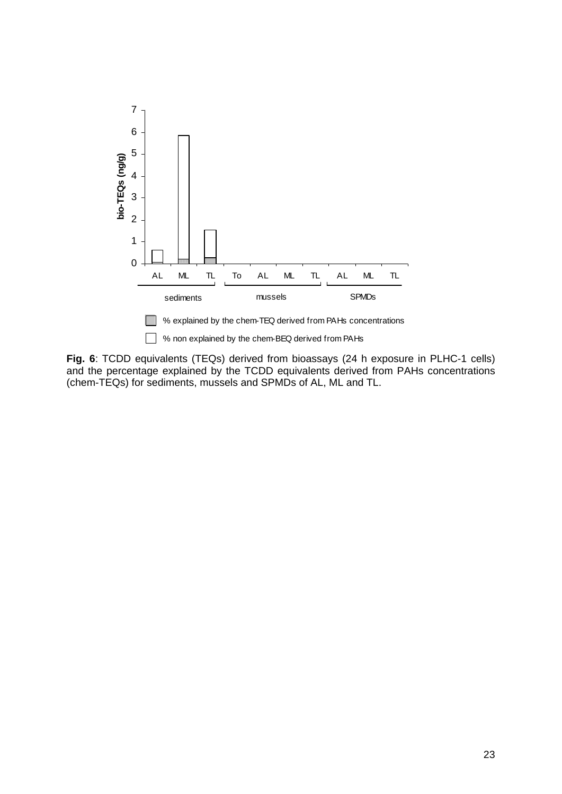

**Fig. 6**: TCDD equivalents (TEQs) derived from bioassays (24 h exposure in PLHC-1 cells) and the percentage explained by the TCDD equivalents derived from PAHs concentrations (chem-TEQs) for sediments, mussels and SPMDs of AL, ML and TL.